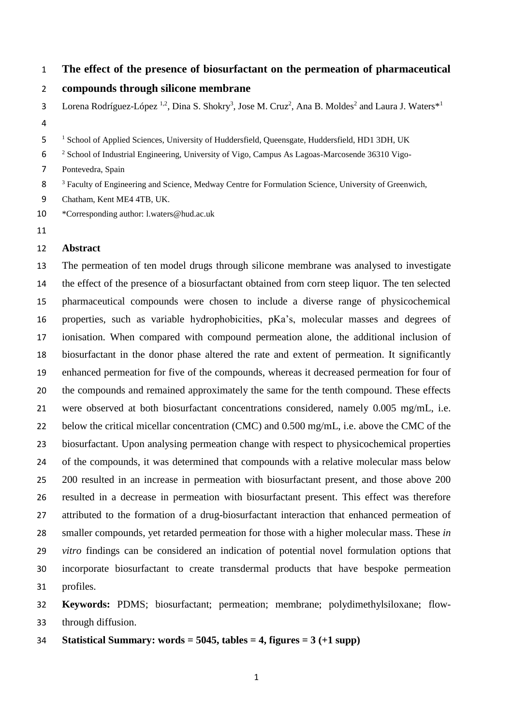### **The effect of the presence of biosurfactant on the permeation of pharmaceutical**

#### **compounds through silicone membrane**

3 Lorena Rodríguez-López <sup>1,2</sup>, Dina S. Shokry<sup>3</sup>, Jose M. Cruz<sup>2</sup>, Ana B. Moldes<sup>2</sup> and Laura J. Waters<sup>\*1</sup> 

5 <sup>1</sup> School of Applied Sciences, University of Huddersfield, Queensgate, Huddersfield, HD1 3DH, UK

<sup>2</sup> School of Industrial Engineering, University of Vigo, Campus As Lagoas-Marcosende 36310 Vigo-

Pontevedra, Spain

<sup>3</sup> Faculty of Engineering and Science, Medway Centre for Formulation Science, University of Greenwich,

Chatham, Kent ME4 4TB, UK.

\*Corresponding author: l.waters@hud.ac.uk

### **Abstract**

 The permeation of ten model drugs through silicone membrane was analysed to investigate the effect of the presence of a biosurfactant obtained from corn steep liquor. The ten selected pharmaceutical compounds were chosen to include a diverse range of physicochemical properties, such as variable hydrophobicities, pKa's, molecular masses and degrees of ionisation. When compared with compound permeation alone, the additional inclusion of biosurfactant in the donor phase altered the rate and extent of permeation. It significantly enhanced permeation for five of the compounds, whereas it decreased permeation for four of the compounds and remained approximately the same for the tenth compound. These effects were observed at both biosurfactant concentrations considered, namely 0.005 mg/mL, i.e. 22 below the critical micellar concentration (CMC) and 0.500 mg/mL, i.e. above the CMC of the biosurfactant. Upon analysing permeation change with respect to physicochemical properties of the compounds, it was determined that compounds with a relative molecular mass below 200 resulted in an increase in permeation with biosurfactant present, and those above 200 resulted in a decrease in permeation with biosurfactant present. This effect was therefore attributed to the formation of a drug-biosurfactant interaction that enhanced permeation of smaller compounds, yet retarded permeation for those with a higher molecular mass. These *in vitro* findings can be considered an indication of potential novel formulation options that incorporate biosurfactant to create transdermal products that have bespoke permeation profiles.

 **Keywords:** PDMS; biosurfactant; permeation; membrane; polydimethylsiloxane; flow-through diffusion.

**Statistical Summary: words = 5045, tables = 4, figures = 3 (+1 supp)**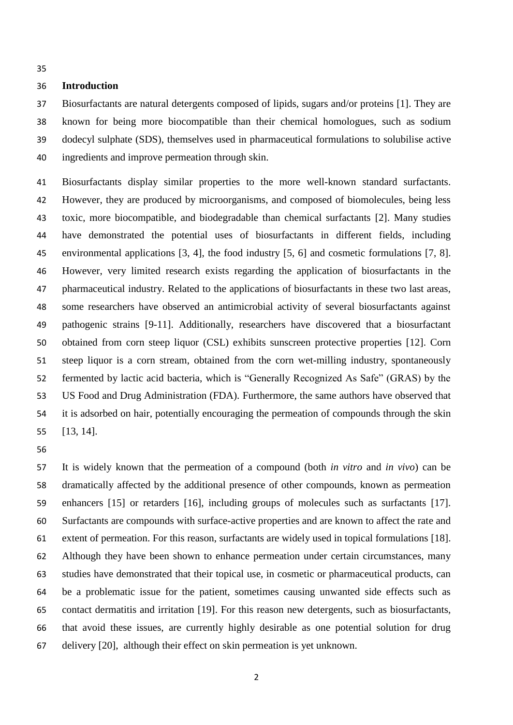## **Introduction**

 Biosurfactants are natural detergents composed of lipids, sugars and/or proteins [1]. They are known for being more biocompatible than their chemical homologues, such as sodium dodecyl sulphate (SDS), themselves used in pharmaceutical formulations to solubilise active ingredients and improve permeation through skin.

 Biosurfactants display similar properties to the more well-known standard surfactants. However, they are produced by microorganisms, and composed of biomolecules, being less toxic, more biocompatible, and biodegradable than chemical surfactants [2]. Many studies have demonstrated the potential uses of biosurfactants in different fields, including environmental applications [3, 4], the food industry [5, 6] and cosmetic formulations [7, 8]. However, very limited research exists regarding the application of biosurfactants in the pharmaceutical industry. Related to the applications of biosurfactants in these two last areas, some researchers have observed an antimicrobial activity of several biosurfactants against pathogenic strains [9-11]. Additionally, researchers have discovered that a biosurfactant obtained from corn steep liquor (CSL) exhibits sunscreen protective properties [12]. Corn steep liquor is a corn stream, obtained from the corn wet-milling industry, spontaneously fermented by lactic acid bacteria, which is "Generally Recognized As Safe" (GRAS) by the US Food and Drug Administration (FDA). Furthermore, the same authors have observed that it is adsorbed on hair, potentially encouraging the permeation of compounds through the skin [13, 14].

 It is widely known that the permeation of a compound (both *in vitro* and *in vivo*) can be dramatically affected by the additional presence of other compounds, known as permeation enhancers [15] or retarders [16], including groups of molecules such as surfactants [17]. Surfactants are compounds with surface-active properties and are known to affect the rate and extent of permeation. For this reason, surfactants are widely used in topical formulations [18]. Although they have been shown to enhance permeation under certain circumstances, many studies have demonstrated that their topical use, in cosmetic or pharmaceutical products, can be a problematic issue for the patient, sometimes causing unwanted side effects such as contact dermatitis and irritation [19]. For this reason new detergents, such as biosurfactants, that avoid these issues, are currently highly desirable as one potential solution for drug delivery [20], although their effect on skin permeation is yet unknown.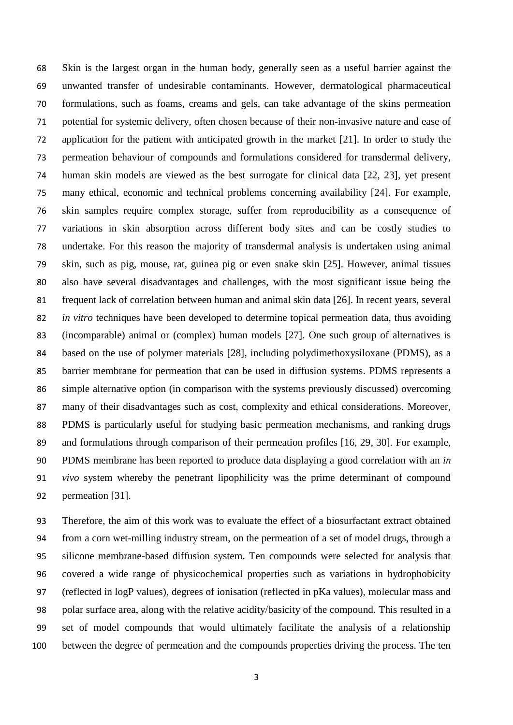Skin is the largest organ in the human body, generally seen as a useful barrier against the unwanted transfer of undesirable contaminants. However, dermatological pharmaceutical formulations, such as foams, creams and gels, can take advantage of the skins permeation potential for systemic delivery, often chosen because of their non-invasive nature and ease of application for the patient with anticipated growth in the market [21]. In order to study the permeation behaviour of compounds and formulations considered for transdermal delivery, human skin models are viewed as the best surrogate for clinical data [22, 23], yet present many ethical, economic and technical problems concerning availability [24]. For example, skin samples require complex storage, suffer from reproducibility as a consequence of variations in skin absorption across different body sites and can be costly studies to undertake. For this reason the majority of transdermal analysis is undertaken using animal skin, such as pig, mouse, rat, guinea pig or even snake skin [25]. However, animal tissues also have several disadvantages and challenges, with the most significant issue being the frequent lack of correlation between human and animal skin data [26]. In recent years, several *in vitro* techniques have been developed to determine topical permeation data, thus avoiding (incomparable) animal or (complex) human models [27]. One such group of alternatives is based on the use of polymer materials [28], including polydimethoxysiloxane (PDMS), as a barrier membrane for permeation that can be used in diffusion systems. PDMS represents a simple alternative option (in comparison with the systems previously discussed) overcoming many of their disadvantages such as cost, complexity and ethical considerations. Moreover, PDMS is particularly useful for studying basic permeation mechanisms, and ranking drugs and formulations through comparison of their permeation profiles [16, 29, 30]. For example, PDMS membrane has been reported to produce data displaying a good correlation with an *in vivo* system whereby the penetrant lipophilicity was the prime determinant of compound permeation [31].

 Therefore, the aim of this work was to evaluate the effect of a biosurfactant extract obtained from a corn wet-milling industry stream, on the permeation of a set of model drugs, through a silicone membrane-based diffusion system. Ten compounds were selected for analysis that covered a wide range of physicochemical properties such as variations in hydrophobicity (reflected in logP values), degrees of ionisation (reflected in pKa values), molecular mass and polar surface area, along with the relative acidity/basicity of the compound. This resulted in a set of model compounds that would ultimately facilitate the analysis of a relationship between the degree of permeation and the compounds properties driving the process. The ten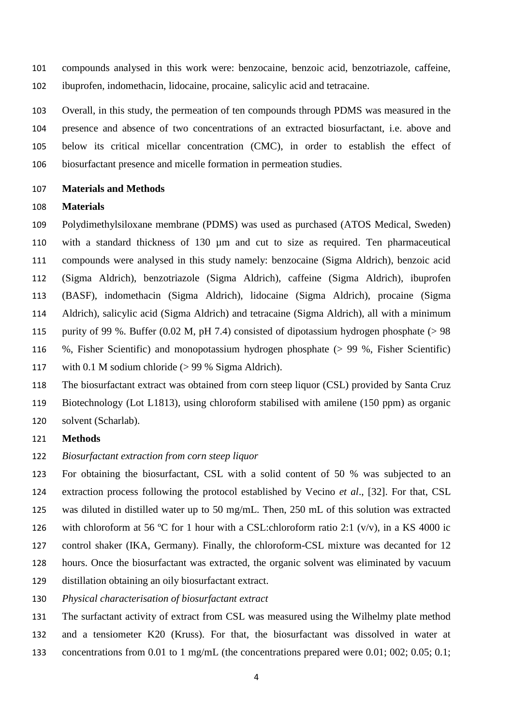compounds analysed in this work were: benzocaine, benzoic acid, benzotriazole, caffeine, ibuprofen, indomethacin, lidocaine, procaine, salicylic acid and tetracaine.

 Overall, in this study, the permeation of ten compounds through PDMS was measured in the presence and absence of two concentrations of an extracted biosurfactant, i.e. above and below its critical micellar concentration (CMC), in order to establish the effect of biosurfactant presence and micelle formation in permeation studies.

#### **Materials and Methods**

#### **Materials**

 Polydimethylsiloxane membrane (PDMS) was used as purchased (ATOS Medical, Sweden) with a standard thickness of 130 µm and cut to size as required. Ten pharmaceutical compounds were analysed in this study namely: benzocaine (Sigma Aldrich), benzoic acid (Sigma Aldrich), benzotriazole (Sigma Aldrich), caffeine (Sigma Aldrich), ibuprofen (BASF), indomethacin (Sigma Aldrich), lidocaine (Sigma Aldrich), procaine (Sigma Aldrich), salicylic acid (Sigma Aldrich) and tetracaine (Sigma Aldrich), all with a minimum purity of 99 %. Buffer (0.02 M, pH 7.4) consisted of dipotassium hydrogen phosphate (> 98 %, Fisher Scientific) and monopotassium hydrogen phosphate (> 99 %, Fisher Scientific) with 0.1 M sodium chloride (> 99 % Sigma Aldrich).

 The biosurfactant extract was obtained from corn steep liquor (CSL) provided by Santa Cruz Biotechnology (Lot L1813), using chloroform stabilised with amilene (150 ppm) as organic solvent (Scharlab).

### **Methods**

*Biosurfactant extraction from corn steep liquor*

 For obtaining the biosurfactant, CSL with a solid content of 50 % was subjected to an extraction process following the protocol established by Vecino *et al*., [32]. For that, CSL was diluted in distilled water up to 50 mg/mL. Then, 250 mL of this solution was extracted 126 with chloroform at 56 °C for 1 hour with a CSL:chloroform ratio 2:1 (v/v), in a KS 4000 ic control shaker (IKA, Germany). Finally, the chloroform-CSL mixture was decanted for 12

- hours. Once the biosurfactant was extracted, the organic solvent was eliminated by vacuum
- distillation obtaining an oily biosurfactant extract.
- *Physical characterisation of biosurfactant extract*
- The surfactant activity of extract from CSL was measured using the Wilhelmy plate method and a tensiometer K20 (Kruss). For that, the biosurfactant was dissolved in water at concentrations from 0.01 to 1 mg/mL (the concentrations prepared were 0.01; 002; 0.05; 0.1;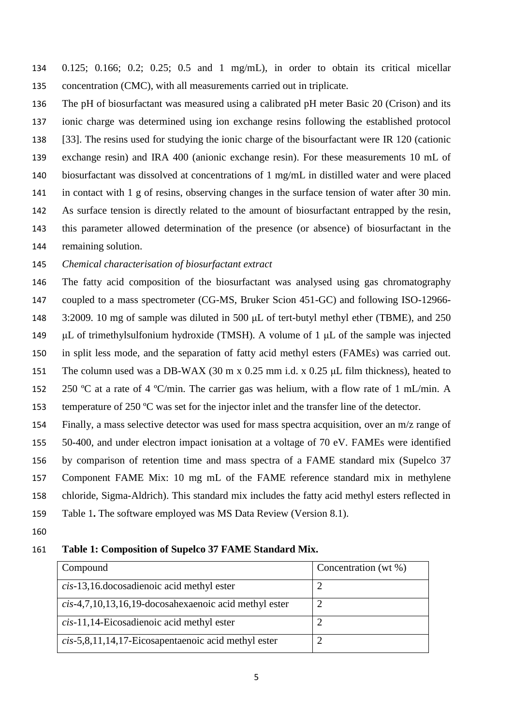0.125; 0.166; 0.2; 0.25; 0.5 and 1 mg/mL), in order to obtain its critical micellar concentration (CMC), with all measurements carried out in triplicate.

 The pH of biosurfactant was measured using a calibrated pH meter Basic 20 (Crison) and its ionic charge was determined using ion exchange resins following the established protocol [33]. The resins used for studying the ionic charge of the bisourfactant were IR 120 (cationic exchange resin) and IRA 400 (anionic exchange resin). For these measurements 10 mL of biosurfactant was dissolved at concentrations of 1 mg/mL in distilled water and were placed in contact with 1 g of resins, observing changes in the surface tension of water after 30 min. As surface tension is directly related to the amount of biosurfactant entrapped by the resin, this parameter allowed determination of the presence (or absence) of biosurfactant in the remaining solution.

*Chemical characterisation of biosurfactant extract*

 The fatty acid composition of the biosurfactant was analysed using gas chromatography coupled to a mass spectrometer (CG-MS, Bruker Scion 451-GC) and following ISO-12966- 3:2009. 10 mg of sample was diluted in 500 μL of tert-butyl methyl ether (TBME), and 250 μL of trimethylsulfonium hydroxide (TMSH). A volume of 1 μL of the sample was injected in split less mode, and the separation of fatty acid methyl esters (FAMEs) was carried out. The column used was a DB-WAX (30 m x 0.25 mm i.d. x 0.25 μL film thickness), heated to 152 250 °C at a rate of 4 °C/min. The carrier gas was helium, with a flow rate of 1 mL/min. A 153 temperature of 250 °C was set for the injector inlet and the transfer line of the detector.

 Finally, a mass selective detector was used for mass spectra acquisition, over an m/z range of 50-400, and under electron impact ionisation at a voltage of 70 eV. FAMEs were identified by comparison of retention time and mass spectra of a FAME standard mix (Supelco 37 Component FAME Mix: 10 mg mL of the FAME reference standard mix in methylene chloride, Sigma-Aldrich). This standard mix includes the fatty acid methyl esters reflected in Table 1**.** The software employed was MS Data Review (Version 8.1).

#### **Table 1: Composition of Supelco 37 FAME Standard Mix.**

| Compound                                                 | Concentration (wt %) |
|----------------------------------------------------------|----------------------|
| cis-13,16. docosadienoic acid methyl ester               |                      |
| $cis-4,7,10,13,16,19$ -docosahexaenoic acid methyl ester |                      |
| cis-11,14-Eicosadienoic acid methyl ester                |                      |
| $cis$ -5,8,11,14,17-Eicosapentaenoic acid methyl ester   |                      |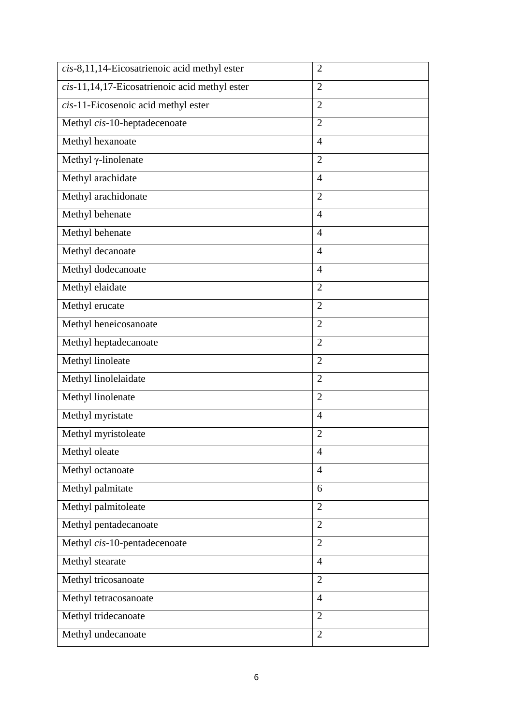| $cis$ -8,11,14-Eicosatrienoic acid methyl ester  | $\overline{2}$ |
|--------------------------------------------------|----------------|
| $cis$ -11,14,17-Eicosatrienoic acid methyl ester | $\overline{2}$ |
| cis-11-Eicosenoic acid methyl ester              | $\overline{2}$ |
| Methyl cis-10-heptadecenoate                     | $\overline{2}$ |
| Methyl hexanoate                                 | $\overline{4}$ |
| Methyl $\gamma$ -linolenate                      | $\overline{2}$ |
| Methyl arachidate                                | $\overline{4}$ |
| Methyl arachidonate                              | $\overline{2}$ |
| Methyl behenate                                  | $\overline{4}$ |
| Methyl behenate                                  | $\overline{4}$ |
| Methyl decanoate                                 | $\overline{4}$ |
| Methyl dodecanoate                               | $\overline{4}$ |
| Methyl elaidate                                  | $\overline{2}$ |
| Methyl erucate                                   | $\overline{2}$ |
| Methyl heneicosanoate                            | $\overline{2}$ |
| Methyl heptadecanoate                            | $\overline{2}$ |
| Methyl linoleate                                 | $\overline{2}$ |
| Methyl linolelaidate                             | $\overline{2}$ |
| Methyl linolenate                                | $\overline{2}$ |
| Methyl myristate                                 | $\overline{4}$ |
| Methyl myristoleate                              | $\overline{2}$ |
| Methyl oleate                                    | $\overline{4}$ |
| Methyl octanoate                                 | $\overline{4}$ |
| Methyl palmitate                                 | 6              |
| Methyl palmitoleate                              | $\overline{2}$ |
| Methyl pentadecanoate                            | $\overline{2}$ |
| Methyl cis-10-pentadecenoate                     | $\overline{2}$ |
| Methyl stearate                                  | $\overline{4}$ |
| Methyl tricosanoate                              | $\overline{2}$ |
| Methyl tetracosanoate                            | $\overline{4}$ |
| Methyl tridecanoate                              | $\overline{2}$ |
| Methyl undecanoate                               | $\overline{2}$ |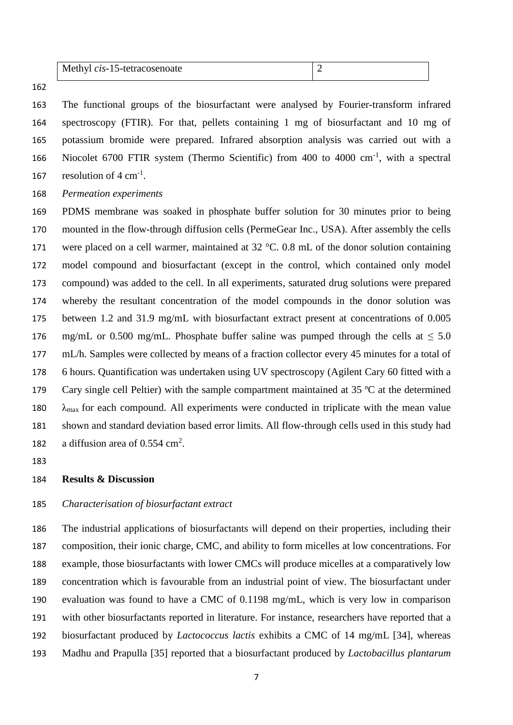| Methyl cis-15-tetracosenoate |  |
|------------------------------|--|
|------------------------------|--|

 The functional groups of the biosurfactant were analysed by Fourier-transform infrared spectroscopy (FTIR). For that, pellets containing 1 mg of biosurfactant and 10 mg of potassium bromide were prepared. Infrared absorption analysis was carried out with a 166 Niocolet 6700 FTIR system (Thermo Scientific) from 400 to 4000 cm<sup>-1</sup>, with a spectral 167 resolution of  $4 \text{ cm}^{-1}$ .

*Permeation experiments* 

 PDMS membrane was soaked in phosphate buffer solution for 30 minutes prior to being mounted in the flow-through diffusion cells (PermeGear Inc., USA). After assembly the cells 171 were placed on a cell warmer, maintained at  $32 \degree C$ . 0.8 mL of the donor solution containing model compound and biosurfactant (except in the control, which contained only model compound) was added to the cell. In all experiments, saturated drug solutions were prepared whereby the resultant concentration of the model compounds in the donor solution was between 1.2 and 31.9 mg/mL with biosurfactant extract present at concentrations of 0.005 176 mg/mL or 0.500 mg/mL. Phosphate buffer saline was pumped through the cells at  $\leq 5.0$  mL/h. Samples were collected by means of a fraction collector every 45 minutes for a total of 6 hours. Quantification was undertaken using UV spectroscopy (Agilent Cary 60 fitted with a 179 Cary single cell Peltier) with the sample compartment maintained at 35 °C at the determined  $\lambda_{\text{max}}$  for each compound. All experiments were conducted in triplicate with the mean value shown and standard deviation based error limits. All flow-through cells used in this study had 182 a diffusion area of  $0.554 \text{ cm}^2$ .

### **Results & Discussion**

# *Characterisation of biosurfactant extract*

 The industrial applications of biosurfactants will depend on their properties, including their composition, their ionic charge, CMC, and ability to form micelles at low concentrations. For example, those biosurfactants with lower CMCs will produce micelles at a comparatively low concentration which is favourable from an industrial point of view. The biosurfactant under evaluation was found to have a CMC of 0.1198 mg/mL, which is very low in comparison with other biosurfactants reported in literature. For instance, researchers have reported that a biosurfactant produced by *Lactococcus lactis* exhibits a CMC of 14 mg/mL [34], whereas Madhu and Prapulla [35] reported that a biosurfactant produced by *Lactobacillus plantarum*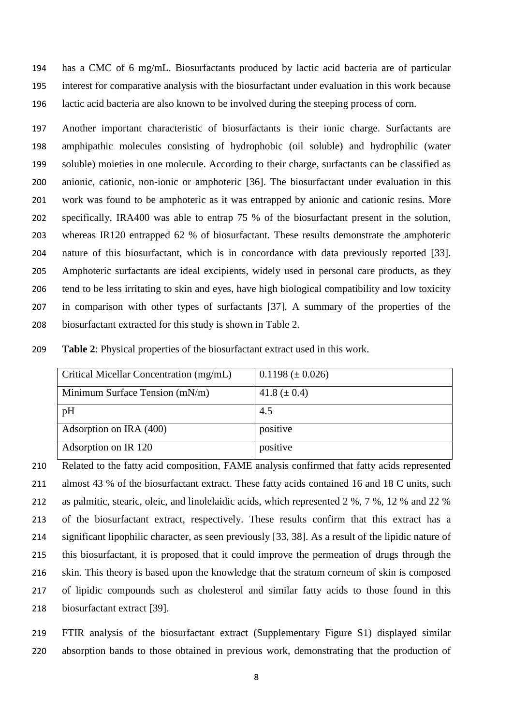has a CMC of 6 mg/mL. Biosurfactants produced by lactic acid bacteria are of particular interest for comparative analysis with the biosurfactant under evaluation in this work because lactic acid bacteria are also known to be involved during the steeping process of corn.

 Another important characteristic of biosurfactants is their ionic charge. Surfactants are amphipathic molecules consisting of hydrophobic (oil soluble) and hydrophilic (water soluble) moieties in one molecule. According to their charge, surfactants can be classified as anionic, cationic, non-ionic or amphoteric [36]. The biosurfactant under evaluation in this work was found to be amphoteric as it was entrapped by anionic and cationic resins. More specifically, IRA400 was able to entrap 75 % of the biosurfactant present in the solution, whereas IR120 entrapped 62 % of biosurfactant. These results demonstrate the amphoteric nature of this biosurfactant, which is in concordance with data previously reported [33]. Amphoteric surfactants are ideal excipients, widely used in personal care products, as they tend to be less irritating to skin and eyes, have high biological compatibility and low toxicity in comparison with other types of surfactants [37]. A summary of the properties of the biosurfactant extracted for this study is shown in Table 2.

| 209 | <b>Table 2:</b> Physical properties of the biosurfactant extract used in this work. |  |  |  |  |  |  |
|-----|-------------------------------------------------------------------------------------|--|--|--|--|--|--|
|-----|-------------------------------------------------------------------------------------|--|--|--|--|--|--|

| Critical Micellar Concentration (mg/mL) | $0.1198 \ (\pm 0.026)$ |
|-----------------------------------------|------------------------|
| Minimum Surface Tension $(mN/m)$        | 41.8 $(\pm 0.4)$       |
| pH                                      | 4.5                    |
| Adsorption on IRA (400)                 | positive               |
| Adsorption on IR 120                    | positive               |

 Related to the fatty acid composition, FAME analysis confirmed that fatty acids represented 211 almost 43 % of the biosurfactant extract. These fatty acids contained 16 and 18 C units, such as palmitic, stearic, oleic, and linolelaidic acids, which represented 2 %, 7 %, 12 % and 22 % of the biosurfactant extract, respectively. These results confirm that this extract has a significant lipophilic character, as seen previously [33, 38]. As a result of the lipidic nature of this biosurfactant, it is proposed that it could improve the permeation of drugs through the skin. This theory is based upon the knowledge that the stratum corneum of skin is composed of lipidic compounds such as cholesterol and similar fatty acids to those found in this biosurfactant extract [39].

 FTIR analysis of the biosurfactant extract (Supplementary Figure S1) displayed similar absorption bands to those obtained in previous work, demonstrating that the production of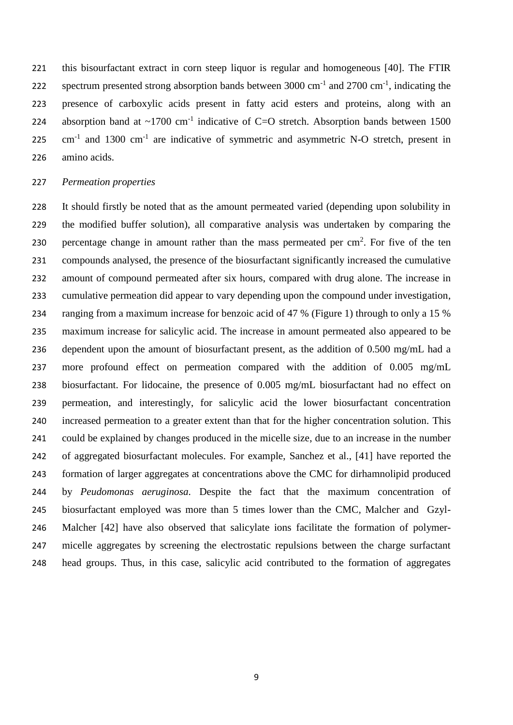this bisourfactant extract in corn steep liquor is regular and homogeneous [40]. The FTIR 222 spectrum presented strong absorption bands between  $3000 \text{ cm}^{-1}$  and  $2700 \text{ cm}^{-1}$ , indicating the presence of carboxylic acids present in fatty acid esters and proteins, along with an 224 absorption band at  $\sim$ 1700 cm<sup>-1</sup> indicative of C=O stretch. Absorption bands between 1500 cm<sup>-1</sup> and 1300 cm<sup>-1</sup> are indicative of symmetric and asymmetric N-O stretch, present in amino acids.

#### *Permeation properties*

 It should firstly be noted that as the amount permeated varied (depending upon solubility in the modified buffer solution), all comparative analysis was undertaken by comparing the 230 percentage change in amount rather than the mass permeated per  $cm<sup>2</sup>$ . For five of the ten compounds analysed, the presence of the biosurfactant significantly increased the cumulative amount of compound permeated after six hours, compared with drug alone. The increase in cumulative permeation did appear to vary depending upon the compound under investigation, ranging from a maximum increase for benzoic acid of 47 % (Figure 1) through to only a 15 % maximum increase for salicylic acid. The increase in amount permeated also appeared to be dependent upon the amount of biosurfactant present, as the addition of 0.500 mg/mL had a more profound effect on permeation compared with the addition of 0.005 mg/mL biosurfactant. For lidocaine, the presence of 0.005 mg/mL biosurfactant had no effect on permeation, and interestingly, for salicylic acid the lower biosurfactant concentration increased permeation to a greater extent than that for the higher concentration solution. This could be explained by changes produced in the micelle size, due to an increase in the number of aggregated biosurfactant molecules. For example, Sanchez et al., [41] have reported the formation of larger aggregates at concentrations above the CMC for dirhamnolipid produced by *Peudomonas aeruginosa.* Despite the fact that the maximum concentration of biosurfactant employed was more than 5 times lower than the CMC*,* Malcher and Gzyl- Malcher [42] have also observed that salicylate ions facilitate the formation of polymer- micelle aggregates by screening the electrostatic repulsions between the charge surfactant head groups. Thus, in this case, salicylic acid contributed to the formation of aggregates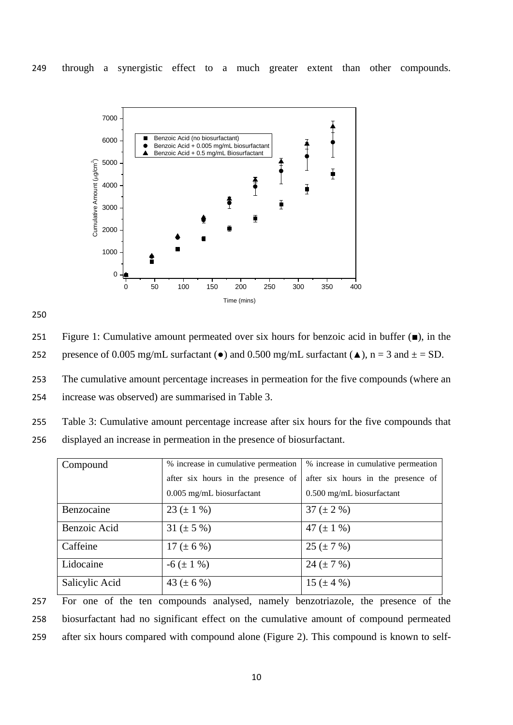

251 Figure 1: Cumulative amount permeated over six hours for benzoic acid in buffer (■), in the

252 presence of 0.005 mg/mL surfactant ( $\bullet$ ) and 0.500 mg/mL surfactant ( $\blacktriangle$ ), n = 3 and  $\pm$  = SD.

253 The cumulative amount percentage increases in permeation for the five compounds (where an 254 increase was observed) are summarised in Table 3.

255 Table 3: Cumulative amount percentage increase after six hours for the five compounds that

256 displayed an increase in permeation in the presence of biosurfactant.

| Compound       | % increase in cumulative permeation | % increase in cumulative permeation |  |  |
|----------------|-------------------------------------|-------------------------------------|--|--|
|                | after six hours in the presence of  | after six hours in the presence of  |  |  |
|                | $0.005$ mg/mL biosurfactant         | $0.500$ mg/mL biosurfactant         |  |  |
| Benzocaine     | 23 ( $\pm$ 1 %)                     | 37 ( $\pm$ 2 %)                     |  |  |
| Benzoic Acid   | 31 ( $\pm$ 5 %)                     | 47 ( $\pm$ 1 %)                     |  |  |
| Caffeine       | $17 (\pm 6 \%)$                     | $25 (+ 7 %)$                        |  |  |
| Lidocaine      | $-6 (\pm 1 \%)$                     | 24 ( $\pm$ 7 %)                     |  |  |
| Salicylic Acid | 43 ( $\pm$ 6 %)                     | 15 ( $\pm$ 4 %)                     |  |  |

257 For one of the ten compounds analysed, namely benzotriazole, the presence of the 258 biosurfactant had no significant effect on the cumulative amount of compound permeated 259 after six hours compared with compound alone (Figure 2). This compound is known to self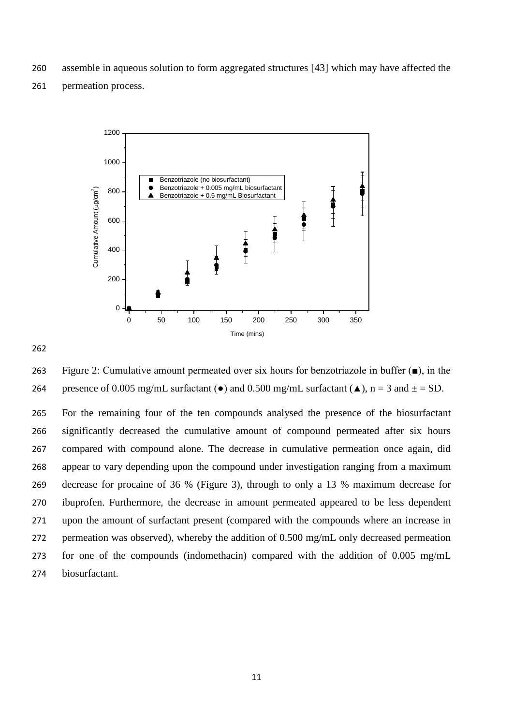assemble in aqueous solution to form aggregated structures [43] which may have affected the

permeation process.



 Figure 2: Cumulative amount permeated over six hours for benzotriazole in buffer (■), in the 264 presence of 0.005 mg/mL surfactant ( $\bullet$ ) and 0.500 mg/mL surfactant ( $\blacktriangle$ ), n = 3 and  $\pm$  = SD.

 For the remaining four of the ten compounds analysed the presence of the biosurfactant significantly decreased the cumulative amount of compound permeated after six hours compared with compound alone. The decrease in cumulative permeation once again, did appear to vary depending upon the compound under investigation ranging from a maximum decrease for procaine of 36 % (Figure 3), through to only a 13 % maximum decrease for ibuprofen. Furthermore, the decrease in amount permeated appeared to be less dependent upon the amount of surfactant present (compared with the compounds where an increase in permeation was observed), whereby the addition of 0.500 mg/mL only decreased permeation for one of the compounds (indomethacin) compared with the addition of 0.005 mg/mL biosurfactant.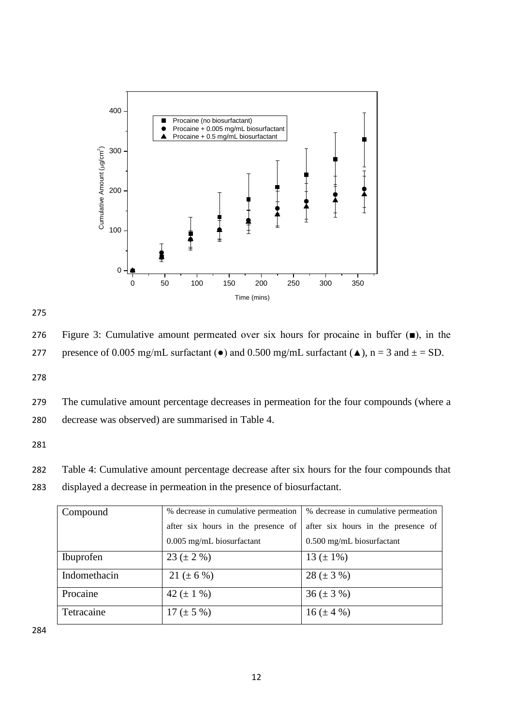

276 Figure 3: Cumulative amount permeated over six hours for procaine in buffer (■), in the

277 presence of 0.005 mg/mL surfactant ( $\bullet$ ) and 0.500 mg/mL surfactant ( $\triangle$ ), n = 3 and  $\pm$  = SD.

278

279 The cumulative amount percentage decreases in permeation for the four compounds (where a 280 decrease was observed) are summarised in Table 4.

281

282 Table 4: Cumulative amount percentage decrease after six hours for the four compounds that 283 displayed a decrease in permeation in the presence of biosurfactant.

| % decrease in cumulative permeation<br>Compound |                                    | % decrease in cumulative permeation |  |  |
|-------------------------------------------------|------------------------------------|-------------------------------------|--|--|
|                                                 | after six hours in the presence of | after six hours in the presence of  |  |  |
|                                                 | $0.005$ mg/mL biosurfactant        | 0.500 mg/mL biosurfactant           |  |  |
| Ibuprofen                                       | $23 (\pm 2 \%)$                    | 13 ( $\pm$ 1%)                      |  |  |
| Indomethacin                                    | $21 (\pm 6 \%)$                    | $28 (\pm 3 \%)$                     |  |  |
| Procaine                                        | 42 ( $\pm$ 1 %)                    | $36 (\pm 3\%)$                      |  |  |
| Tetracaine                                      | $17 (\pm 5 \%)$                    | $16 (\pm 4\%)$                      |  |  |

284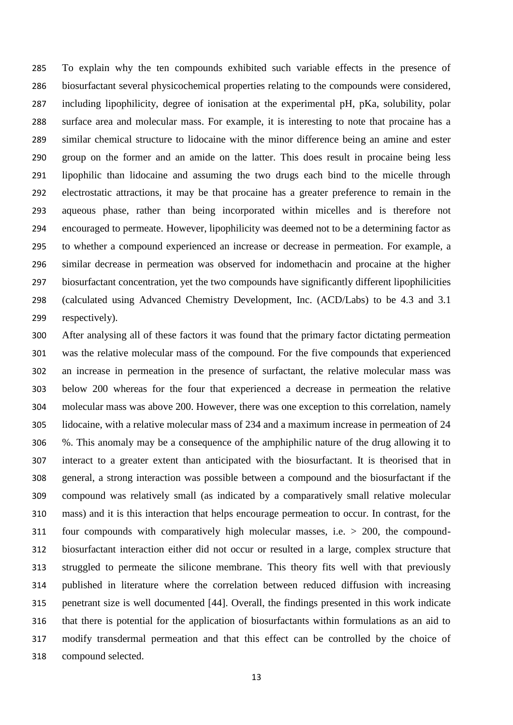To explain why the ten compounds exhibited such variable effects in the presence of biosurfactant several physicochemical properties relating to the compounds were considered, including lipophilicity, degree of ionisation at the experimental pH, pKa, solubility, polar surface area and molecular mass. For example, it is interesting to note that procaine has a similar chemical structure to lidocaine with the minor difference being an amine and ester group on the former and an amide on the latter. This does result in procaine being less lipophilic than lidocaine and assuming the two drugs each bind to the micelle through electrostatic attractions, it may be that procaine has a greater preference to remain in the aqueous phase, rather than being incorporated within micelles and is therefore not encouraged to permeate. However, lipophilicity was deemed not to be a determining factor as to whether a compound experienced an increase or decrease in permeation. For example, a similar decrease in permeation was observed for indomethacin and procaine at the higher biosurfactant concentration, yet the two compounds have significantly different lipophilicities (calculated using Advanced Chemistry Development, Inc. (ACD/Labs) to be 4.3 and 3.1 respectively).

 After analysing all of these factors it was found that the primary factor dictating permeation was the relative molecular mass of the compound. For the five compounds that experienced an increase in permeation in the presence of surfactant, the relative molecular mass was below 200 whereas for the four that experienced a decrease in permeation the relative molecular mass was above 200. However, there was one exception to this correlation, namely lidocaine, with a relative molecular mass of 234 and a maximum increase in permeation of 24 %. This anomaly may be a consequence of the amphiphilic nature of the drug allowing it to interact to a greater extent than anticipated with the biosurfactant. It is theorised that in general, a strong interaction was possible between a compound and the biosurfactant if the compound was relatively small (as indicated by a comparatively small relative molecular mass) and it is this interaction that helps encourage permeation to occur. In contrast, for the four compounds with comparatively high molecular masses, i.e. > 200, the compound- biosurfactant interaction either did not occur or resulted in a large, complex structure that struggled to permeate the silicone membrane. This theory fits well with that previously published in literature where the correlation between reduced diffusion with increasing penetrant size is well documented [44]. Overall, the findings presented in this work indicate that there is potential for the application of biosurfactants within formulations as an aid to modify transdermal permeation and that this effect can be controlled by the choice of compound selected.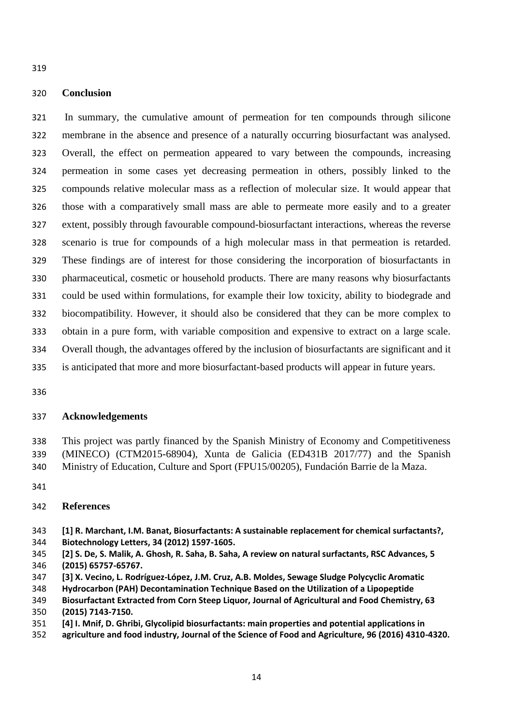# **Conclusion**

 In summary, the cumulative amount of permeation for ten compounds through silicone membrane in the absence and presence of a naturally occurring biosurfactant was analysed. Overall, the effect on permeation appeared to vary between the compounds, increasing permeation in some cases yet decreasing permeation in others, possibly linked to the compounds relative molecular mass as a reflection of molecular size. It would appear that those with a comparatively small mass are able to permeate more easily and to a greater extent, possibly through favourable compound-biosurfactant interactions, whereas the reverse scenario is true for compounds of a high molecular mass in that permeation is retarded. These findings are of interest for those considering the incorporation of biosurfactants in pharmaceutical, cosmetic or household products. There are many reasons why biosurfactants could be used within formulations, for example their low toxicity, ability to biodegrade and biocompatibility. However, it should also be considered that they can be more complex to obtain in a pure form, with variable composition and expensive to extract on a large scale. Overall though, the advantages offered by the inclusion of biosurfactants are significant and it is anticipated that more and more biosurfactant-based products will appear in future years.

## **Acknowledgements**

 This project was partly financed by the Spanish Ministry of Economy and Competitiveness (MINECO) (CTM2015-68904), Xunta de Galicia (ED431B 2017/77) and the Spanish Ministry of Education, Culture and Sport (FPU15/00205), Fundación Barrie de la Maza.

## **References**

- **[1] R. Marchant, I.M. Banat, Biosurfactants: A sustainable replacement for chemical surfactants?, Biotechnology Letters, 34 (2012) 1597-1605.**
- **[2] S. De, S. Malik, A. Ghosh, R. Saha, B. Saha, A review on natural surfactants, RSC Advances, 5 (2015) 65757-65767.**
- **[3] X. Vecino, L. Rodríguez-López, J.M. Cruz, A.B. Moldes, Sewage Sludge Polycyclic Aromatic**
- **Hydrocarbon (PAH) Decontamination Technique Based on the Utilization of a Lipopeptide**
- **Biosurfactant Extracted from Corn Steep Liquor, Journal of Agricultural and Food Chemistry, 63 (2015) 7143-7150.**
- **[4] I. Mnif, D. Ghribi, Glycolipid biosurfactants: main properties and potential applications in**
- **agriculture and food industry, Journal of the Science of Food and Agriculture, 96 (2016) 4310-4320.**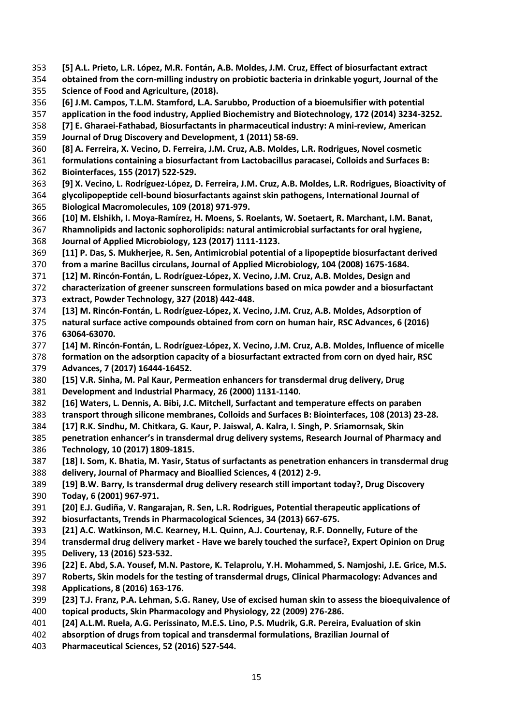- **[5] A.L. Prieto, L.R. López, M.R. Fontán, A.B. Moldes, J.M. Cruz, Effect of biosurfactant extract**
- **obtained from the corn‐milling industry on probiotic bacteria in drinkable yogurt, Journal of the Science of Food and Agriculture, (2018).**
- **[6] J.M. Campos, T.L.M. Stamford, L.A. Sarubbo, Production of a bioemulsifier with potential**
- **application in the food industry, Applied Biochemistry and Biotechnology, 172 (2014) 3234-3252.**
- **[7] E. Gharaei-Fathabad, Biosurfactants in pharmaceutical industry: A mini-review, American**
- **Journal of Drug Discovery and Development, 1 (2011) 58-69.**
- **[8] A. Ferreira, X. Vecino, D. Ferreira, J.M. Cruz, A.B. Moldes, L.R. Rodrigues, Novel cosmetic**
- **formulations containing a biosurfactant from Lactobacillus paracasei, Colloids and Surfaces B: Biointerfaces, 155 (2017) 522-529.**
- **[9] X. Vecino, L. Rodríguez-López, D. Ferreira, J.M. Cruz, A.B. Moldes, L.R. Rodrigues, Bioactivity of**
- **glycolipopeptide cell-bound biosurfactants against skin pathogens, International Journal of Biological Macromolecules, 109 (2018) 971-979.**
- **[10] M. Elshikh, I. Moya-Ramírez, H. Moens, S. Roelants, W. Soetaert, R. Marchant, I.M. Banat,**
- **Rhamnolipids and lactonic sophorolipids: natural antimicrobial surfactants for oral hygiene, Journal of Applied Microbiology, 123 (2017) 1111-1123.**
- **[11] P. Das, S. Mukherjee, R. Sen, Antimicrobial potential of a lipopeptide biosurfactant derived**
- **from a marine Bacillus circulans, Journal of Applied Microbiology, 104 (2008) 1675-1684.**
- **[12] M. Rincón-Fontán, L. Rodríguez-López, X. Vecino, J.M. Cruz, A.B. Moldes, Design and**
- **characterization of greener sunscreen formulations based on mica powder and a biosurfactant extract, Powder Technology, 327 (2018) 442-448.**
- **[13] M. Rincón-Fontán, L. Rodríguez-López, X. Vecino, J.M. Cruz, A.B. Moldes, Adsorption of**
- **natural surface active compounds obtained from corn on human hair, RSC Advances, 6 (2016) 63064-63070.**
- **[14] M. Rincón-Fontán, L. Rodríguez-López, X. Vecino, J.M. Cruz, A.B. Moldes, Influence of micelle**
- **formation on the adsorption capacity of a biosurfactant extracted from corn on dyed hair, RSC Advances, 7 (2017) 16444-16452.**
- **[15] V.R. Sinha, M. Pal Kaur, Permeation enhancers for transdermal drug delivery, Drug**
- **Development and Industrial Pharmacy, 26 (2000) 1131-1140.**
- **[16] Waters, L. Dennis, A. Bibi, J.C. Mitchell, Surfactant and temperature effects on paraben**
- **transport through silicone membranes, Colloids and Surfaces B: Biointerfaces, 108 (2013) 23-28.**
- **[17] R.K. Sindhu, M. Chitkara, G. Kaur, P. Jaiswal, A. Kalra, I. Singh, P. Sriamornsak, Skin**
- **penetration enhancer's in transdermal drug delivery systems, Research Journal of Pharmacy and Technology, 10 (2017) 1809-1815.**
- **[18] I. Som, K. Bhatia, M. Yasir, Status of surfactants as penetration enhancers in transdermal drug delivery, Journal of Pharmacy and Bioallied Sciences, 4 (2012) 2-9.**
- **[19] B.W. Barry, Is transdermal drug delivery research still important today?, Drug Discovery**
- **Today, 6 (2001) 967-971.**
- **[20] E.J. Gudiña, V. Rangarajan, R. Sen, L.R. Rodrigues, Potential therapeutic applications of**
- **biosurfactants, Trends in Pharmacological Sciences, 34 (2013) 667-675.**
- **[21] A.C. Watkinson, M.C. Kearney, H.L. Quinn, A.J. Courtenay, R.F. Donnelly, Future of the**
- **transdermal drug delivery market - Have we barely touched the surface?, Expert Opinion on Drug**
- **Delivery, 13 (2016) 523-532.**
- **[22] E. Abd, S.A. Yousef, M.N. Pastore, K. Telaprolu, Y.H. Mohammed, S. Namjoshi, J.E. Grice, M.S. Roberts, Skin models for the testing of transdermal drugs, Clinical Pharmacology: Advances and**
- **Applications, 8 (2016) 163-176.**
- **[23] T.J. Franz, P.A. Lehman, S.G. Raney, Use of excised human skin to assess the bioequivalence of**
- **topical products, Skin Pharmacology and Physiology, 22 (2009) 276-286.**
- **[24] A.L.M. Ruela, A.G. Perissinato, M.E.S. Lino, P.S. Mudrik, G.R. Pereira, Evaluation of skin**
- **absorption of drugs from topical and transdermal formulations, Brazilian Journal of**
- **Pharmaceutical Sciences, 52 (2016) 527-544.**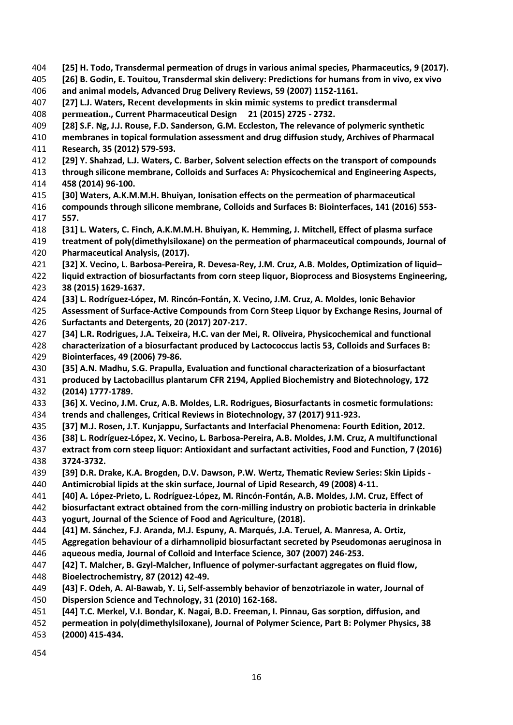- **[25] H. Todo, Transdermal permeation of drugs in various animal species, Pharmaceutics, 9 (2017).**
- **[26] B. Godin, E. Touitou, Transdermal skin delivery: Predictions for humans from in vivo, ex vivo and animal models, Advanced Drug Delivery Reviews, 59 (2007) 1152-1161.**
- **[27] L.J. Waters, Recent developments in skin mimic systems to predict transdermal**
- **permeation., Current Pharmaceutical Design 21 (2015) 2725 - 2732.**
- **[28] S.F. Ng, J.J. Rouse, F.D. Sanderson, G.M. Eccleston, The relevance of polymeric synthetic**
- **membranes in topical formulation assessment and drug diffusion study, Archives of Pharmacal Research, 35 (2012) 579-593.**
- **[29] Y. Shahzad, L.J. Waters, C. Barber, Solvent selection effects on the transport of compounds**
- **through silicone membrane, Colloids and Surfaces A: Physicochemical and Engineering Aspects, 458 (2014) 96-100.**
- **[30] Waters, A.K.M.M.H. Bhuiyan, Ionisation effects on the permeation of pharmaceutical**
- **compounds through silicone membrane, Colloids and Surfaces B: Biointerfaces, 141 (2016) 553- 557.**
- **[31] L. Waters, C. Finch, A.K.M.M.H. Bhuiyan, K. Hemming, J. Mitchell, Effect of plasma surface**
- **treatment of poly(dimethylsiloxane) on the permeation of pharmaceutical compounds, Journal of**
- **Pharmaceutical Analysis, (2017).**
- **[32] X. Vecino, L. Barbosa-Pereira, R. Devesa-Rey, J.M. Cruz, A.B. Moldes, Optimization of liquid–**
- **liquid extraction of biosurfactants from corn steep liquor, Bioprocess and Biosystems Engineering, 38 (2015) 1629-1637.**
- **[33] L. Rodríguez-López, M. Rincón-Fontán, X. Vecino, J.M. Cruz, A. Moldes, Ionic Behavior**
- **Assessment of Surface-Active Compounds from Corn Steep Liquor by Exchange Resins, Journal of Surfactants and Detergents, 20 (2017) 207-217.**
- **[34] L.R. Rodrigues, J.A. Teixeira, H.C. van der Mei, R. Oliveira, Physicochemical and functional**
- **characterization of a biosurfactant produced by Lactococcus lactis 53, Colloids and Surfaces B: Biointerfaces, 49 (2006) 79-86.**
- **[35] A.N. Madhu, S.G. Prapulla, Evaluation and functional characterization of a biosurfactant**
- **produced by Lactobacillus plantarum CFR 2194, Applied Biochemistry and Biotechnology, 172**
- **(2014) 1777-1789.**
- **[36] X. Vecino, J.M. Cruz, A.B. Moldes, L.R. Rodrigues, Biosurfactants in cosmetic formulations:**
- **trends and challenges, Critical Reviews in Biotechnology, 37 (2017) 911-923.**
- **[37] M.J. Rosen, J.T. Kunjappu, Surfactants and Interfacial Phenomena: Fourth Edition, 2012.**
- **[38] L. Rodríguez-López, X. Vecino, L. Barbosa-Pereira, A.B. Moldes, J.M. Cruz, A multifunctional**
- **extract from corn steep liquor: Antioxidant and surfactant activities, Food and Function, 7 (2016) 3724-3732.**
- **[39] D.R. Drake, K.A. Brogden, D.V. Dawson, P.W. Wertz, Thematic Review Series: Skin Lipids -**
- **Antimicrobial lipids at the skin surface, Journal of Lipid Research, 49 (2008) 4-11.**
- **[40] A. López-Prieto, L. Rodríguez-López, M. Rincón-Fontán, A.B. Moldes, J.M. Cruz, Effect of**
- **biosurfactant extract obtained from the corn-milling industry on probiotic bacteria in drinkable**
- **yogurt, Journal of the Science of Food and Agriculture, (2018).**
- **[41] M. Sánchez, F.J. Aranda, M.J. Espuny, A. Marqués, J.A. Teruel, A. Manresa, A. Ortiz,**
- **Aggregation behaviour of a dirhamnolipid biosurfactant secreted by Pseudomonas aeruginosa in**
- **aqueous media, Journal of Colloid and Interface Science, 307 (2007) 246-253.**
- **[42] T. Malcher, B. Gzyl-Malcher, Influence of polymer-surfactant aggregates on fluid flow,**
- **Bioelectrochemistry, 87 (2012) 42-49.**
- **[43] F. Odeh, A. Al-Bawab, Y. Li, Self-assembly behavior of benzotriazole in water, Journal of**
- **Dispersion Science and Technology, 31 (2010) 162-168.**
- **[44] T.C. Merkel, V.I. Bondar, K. Nagai, B.D. Freeman, I. Pinnau, Gas sorption, diffusion, and**
- **permeation in poly(dimethylsiloxane), Journal of Polymer Science, Part B: Polymer Physics, 38**
- **(2000) 415-434.**
-